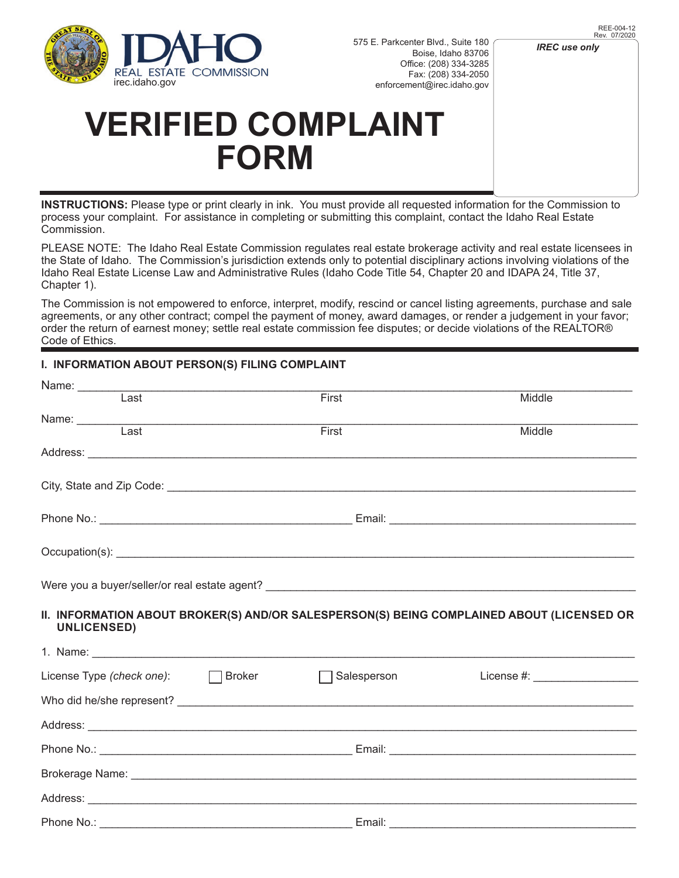

## *IREC use only*

## **VERIFIED COMPLAINT FORM**

**INSTRUCTIONS:** Please type or print clearly in ink. You must provide all requested information for the Commission to process your complaint. For assistance in completing or submitting this complaint, contact the Idaho Real Estate Commission.

PLEASE NOTE: The Idaho Real Estate Commission regulates real estate brokerage activity and real estate licensees in the State of Idaho. The Commission's jurisdiction extends only to potential disciplinary actions involving violations of the Idaho Real Estate License Law and Administrative Rules (Idaho Code Title 54, Chapter 20 and IDAPA 24, Title 37, Chapter 1).

The Commission is not empowered to enforce, interpret, modify, rescind or cancel listing agreements, purchase and sale agreements, or any other contract; compel the payment of money, award damages, or render a judgement in your favor; order the return of earnest money; settle real estate commission fee disputes; or decide violations of the REALTOR® Code of Ethics.

## **I. INFORMATION ABOUT PERSON(S) FILING COMPLAINT**

| Name: Last                |                                           | First       | Middle                                                                                    |
|---------------------------|-------------------------------------------|-------------|-------------------------------------------------------------------------------------------|
| Name: Last                |                                           |             |                                                                                           |
|                           |                                           | First       | Middle                                                                                    |
|                           |                                           |             |                                                                                           |
|                           |                                           |             |                                                                                           |
|                           |                                           |             |                                                                                           |
|                           |                                           |             |                                                                                           |
|                           |                                           |             |                                                                                           |
| <b>UNLICENSED)</b>        |                                           |             | II. INFORMATION ABOUT BROKER(S) AND/OR SALESPERSON(S) BEING COMPLAINED ABOUT (LICENSED OR |
|                           |                                           |             |                                                                                           |
|                           |                                           |             |                                                                                           |
| License Type (check one): | <b>Broker</b><br><b>Contract Contract</b> | Salesperson | License #: New York 2014                                                                  |
|                           |                                           |             |                                                                                           |
|                           |                                           |             |                                                                                           |
|                           |                                           |             |                                                                                           |
|                           |                                           |             |                                                                                           |
|                           |                                           |             |                                                                                           |